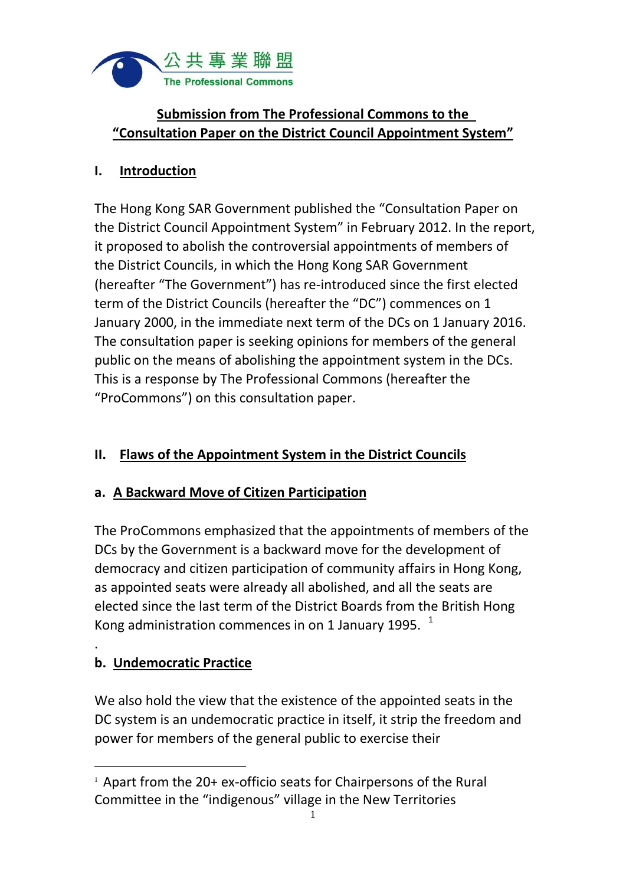

# **Submission from The Professional Commons to the "Consultation Paper on the District Council Appointment System"**

### **I. Introduction**

The Hong Kong SAR Government published the "Consultation Paper on the District Council Appointment System" in February 2012. In the report, it proposed to abolish the controversial appointments of members of the District Councils, in which the Hong Kong SAR Government (hereafter "The Government") has re-introduced since the first elected term of the District Councils (hereafter the "DC") commences on 1 January 2000, in the immediate next term of the DCs on 1 January 2016. The consultation paper is seeking opinions for members of the general public on the means of abolishing the appointment system in the DCs. This is a response by The Professional Commons (hereafter the "ProCommons") on this consultation paper.

# **II. Flaws of the Appointment System in the District Councils**

### **a. A Backward Move of Citizen Participation**

The ProCommons emphasized that the appointments of members of the DCs by the Government is a backward move for the development of democracy and citizen participation of community affairs in Hong Kong, as appointed seats were already all abolished, and all the seats are elected since the last term of the District Boards from the British Hong Kong administration commences in on 1 January 1995.  $1$ 

# **b. Undemocratic Practice**

.

 $\overline{a}$ 

We also hold the view that the existence of the appointed seats in the DC system is an undemocratic practice in itself, it strip the freedom and power for members of the general public to exercise their

 $1$  Apart from the 20+ ex-officio seats for Chairpersons of the Rural Committee in the "indigenous" village in the New Territories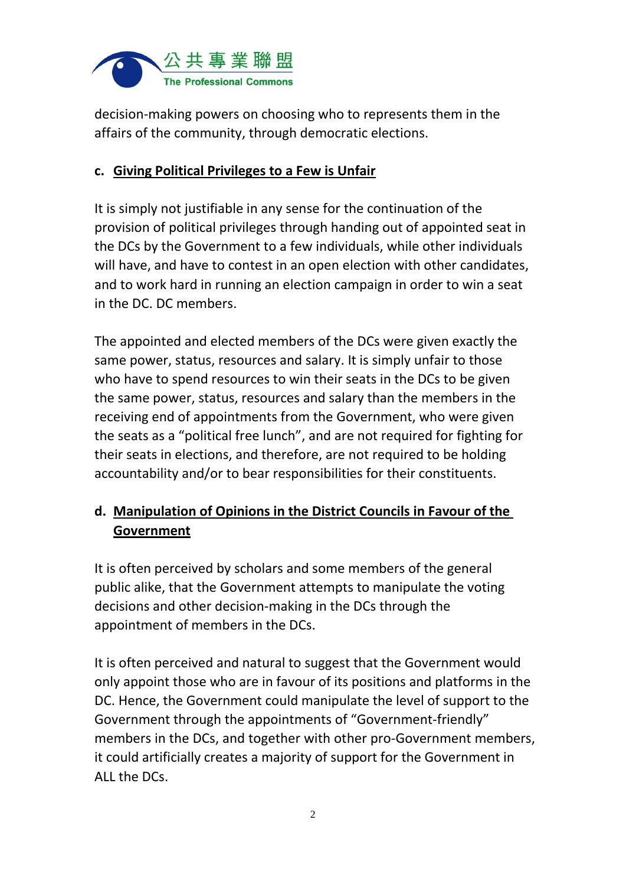

decision-making powers on choosing who to represents them in the affairs of the community, through democratic elections.

#### **c. Giving Political Privileges to a Few is Unfair**

It is simply not justifiable in any sense for the continuation of the provision of political privileges through handing out of appointed seat in the DCs by the Government to a few individuals, while other individuals will have, and have to contest in an open election with other candidates, and to work hard in running an election campaign in order to win a seat in the DC. DC members.

The appointed and elected members of the DCs were given exactly the same power, status, resources and salary. It is simply unfair to those who have to spend resources to win their seats in the DCs to be given the same power, status, resources and salary than the members in the receiving end of appointments from the Government, who were given the seats as a "political free lunch", and are not required for fighting for their seats in elections, and therefore, are not required to be holding accountability and/or to bear responsibilities for their constituents.

# **d. Manipulation of Opinions in the District Councils in Favour of the Government**

It is often perceived by scholars and some members of the general public alike, that the Government attempts to manipulate the voting decisions and other decision-making in the DCs through the appointment of members in the DCs.

It is often perceived and natural to suggest that the Government would only appoint those who are in favour of its positions and platforms in the DC. Hence, the Government could manipulate the level of support to the Government through the appointments of "Government-friendly" members in the DCs, and together with other pro-Government members, it could artificially creates a majority of support for the Government in ALL the DCs.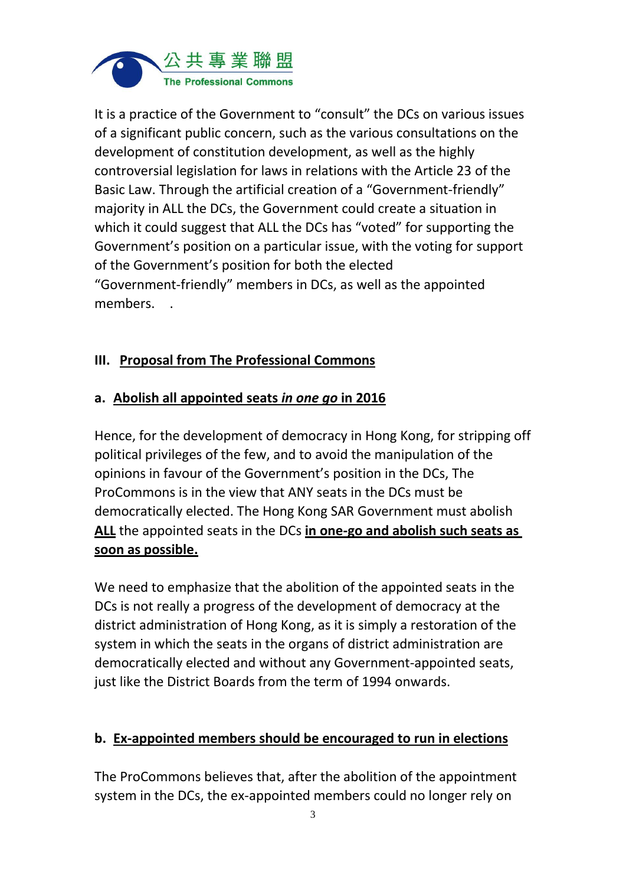

It is a practice of the Government to "consult" the DCs on various issues of a significant public concern, such as the various consultations on the development of constitution development, as well as the highly controversial legislation for laws in relations with the Article 23 of the Basic Law. Through the artificial creation of a "Government-friendly" majority in ALL the DCs, the Government could create a situation in which it could suggest that ALL the DCs has "voted" for supporting the Government's position on a particular issue, with the voting for support of the Government's position for both the elected "Government-friendly" members in DCs, as well as the appointed members. .

### **III. Proposal from The Professional Commons**

### **a. Abolish all appointed seats** *in one go* **in 2016**

Hence, for the development of democracy in Hong Kong, for stripping off political privileges of the few, and to avoid the manipulation of the opinions in favour of the Government's position in the DCs, The ProCommons is in the view that ANY seats in the DCs must be democratically elected. The Hong Kong SAR Government must abolish **ALL** the appointed seats in the DCs **in one-go and abolish such seats as soon as possible.**

We need to emphasize that the abolition of the appointed seats in the DCs is not really a progress of the development of democracy at the district administration of Hong Kong, as it is simply a restoration of the system in which the seats in the organs of district administration are democratically elected and without any Government-appointed seats, just like the District Boards from the term of 1994 onwards.

#### **b. Ex-appointed members should be encouraged to run in elections**

The ProCommons believes that, after the abolition of the appointment system in the DCs, the ex-appointed members could no longer rely on